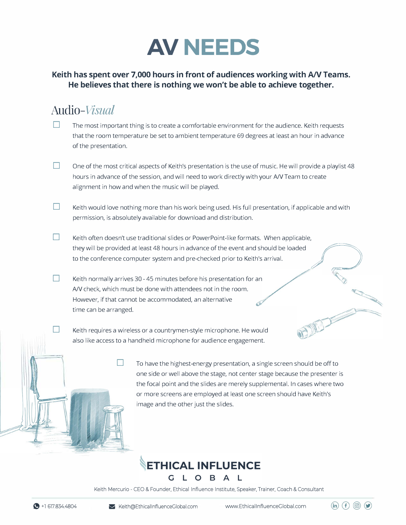

#### **Keith has spent over 7,000 hours in front of audiences working with A/V Teams. He believes that there is nothing we won't be able to achieve together.**

### *Audio-Visual*

- The most important thing is to create a comfortable environment for the audience. Keith requests that the room temperature be set to ambient temperature 69 degrees at least an hour in advance of the presentation.
- $\Box$  One of the most critical aspects of Keith's presentation is the use of music. He will provide a playlist 48 hours in advance of the session, and will need to work directly with your A/V Team to create alignment in how and when the music will be played.
- **D** Keith would love nothing more than his work being used. His full presentation, if applicable and with permission, is absolutely available for download and distribution.
- □ Keith often doesn't use traditional slides or PowerPoint-like formats. When applicable, they will be provided at least 48 hours in advance of the event and should be loaded to the conference computer system and pre-checked prior to Keith's arrival. *,,},* 0\_
- □ Keith normally arrives 30 - 45 minutes before his presentation for an A/V check, which must be done with attendees not in the room. However, if that cannot be accommodated, an alternative time can be arranged.

Keith requires a wireless or a countrymen-style microphone. He would also like access to a hand held microphone for audience engagement.

> **D** To have the highest-energy presentation, a single screen should be off to one side or well above the stage, not center stage because the presenter is the focal point and the slides are merely supplemental. In cases where two or more screens are employed at least one screen should have Keith's image and the other just the slides.

OFFICE

 $(in)$   $(f)$   $\circledcirc$   $(f)$ 

### **ETHICAL INFLUENCE** O B A L

Keith Mercurio - CEO & Founder, Ethical Influence Institute, Speaker, Trainer, Coach & Consultant

 $\mathbb{H}$ 

□

G.